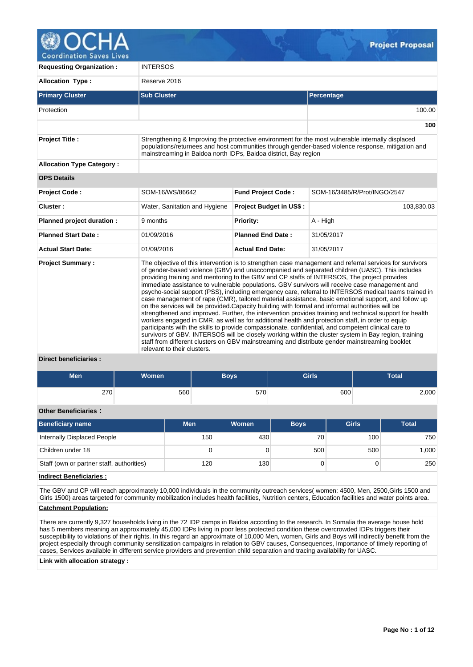

**Requesting Organization :** INTERSOS **Allocation Type :** Reserve 2016 **Primary Cluster Sub Cluster Sub Cluster** Sub Cluster Sub Cluster Sub Cluster Sub Cluster Sub Cluster Sub Cluster Protection 100.00 **100 Project Title :** Strengthening & Improving the protective environment for the most vulnerable internally displaced populations/returnees and host communities through gender-based violence response, mitigation and mainstreaming in Baidoa north IDPs, Baidoa district, Bay region **Allocation Type Category : OPS Details Project Code :** SOM-16/WS/86642 **Fund Project Code :** SOM-16/3485/R/Prot/INGO/2547 **Cluster :** Nater, Sanitation and Hygiene **Project Budget in US\$ :** 103,830.03 **Planned project duration :** 9 months **Priority: Priority:** A - High **Planned Start Date :** 01/09/2016 **Planned End Date :** 31/05/2017 **Actual Start Date:** 01/09/2016 **Actual End Date:** 31/05/2017 **Project Summary :** The objective of this intervention is to strengthen case management and referral services for survivors of gender-based violence (GBV) and unaccompanied and separated children (UASC). This includes providing training and mentoring to the GBV and CP staffs of INTERSOS, The project provides immediate assistance to vulnerable populations. GBV survivors will receive case management and psycho-social support (PSS), including emergency care, referral to INTERSOS medical teams trained in case management of rape (CMR), tailored material assistance, basic emotional support, and follow up on the services will be provided.Capacity building with formal and informal authorities will be strengthened and improved. Further, the intervention provides training and technical support for health workers engaged in CMR, as well as for additional health and protection staff, in order to equip participants with the skills to provide compassionate, confidential, and competent clinical care to survivors of GBV. INTERSOS will be closely working within the cluster system in Bay region, training staff from different clusters on GBV mainstreaming and distribute gender mainstreaming booklet relevant to their clusters.

# **Direct beneficiaries :**

| <b>Men</b> | <b>Women</b> | <b>Boys</b> | <b>Girls</b> | <b>Total</b> |
|------------|--------------|-------------|--------------|--------------|
| 270        | 560          | 570         | 600          | 2,000        |

# **Other Beneficiaries :**

| Beneficiary name                          | <b>Men</b> | Women | <b>Boys</b> | <b>Girls</b> | <b>Total</b> |
|-------------------------------------------|------------|-------|-------------|--------------|--------------|
| Internally Displaced People               | 150        | 430   | 70          | 100          | 750          |
| Children under 18                         | O          |       | 500         | 500          | 1,000        |
| Staff (own or partner staff, authorities) | 120        | 130   |             |              | 250          |

# **Indirect Beneficiaries :**

The GBV and CP will reach approximately 10,000 individuals in the community outreach services( women: 4500, Men, 2500,Girls 1500 and Girls 1500) areas targeted for community mobilization includes health facilities, Nutrition centers, Education facilities and water points area.

#### **Catchment Population:**

There are currently 9,327 households living in the 72 IDP camps in Baidoa according to the research. In Somalia the average house hold has 5 members meaning an approximately 45,000 IDPs living in poor less protected condition these overcrowded IDPs triggers their susceptibility to violations of their rights. In this regard an approximate of 10,000 Men, women, Girls and Boys will indirectly benefit from the project especially through community sensitization campaigns in relation to GBV causes, Consequences, Importance of timely reporting of cases, Services available in different service providers and prevention child separation and tracing availability for UASC.

#### **Link with allocation strategy :**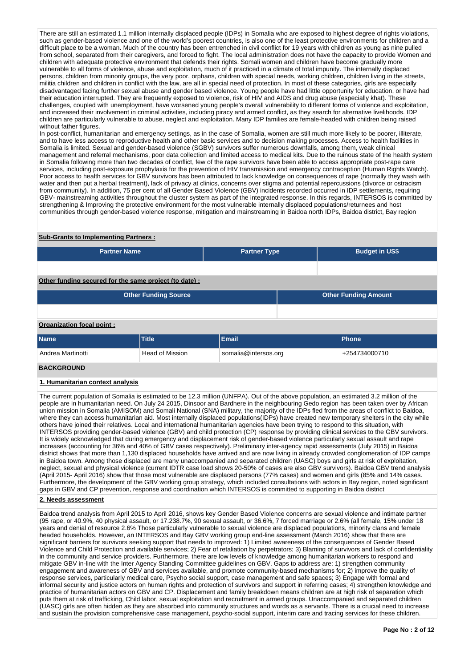There are still an estimated 1.1 million internally displaced people (IDPs) in Somalia who are exposed to highest degree of rights violations, such as gender-based violence and one of the world's poorest countries, is also one of the least protective environments for children and a difficult place to be a woman. Much of the country has been entrenched in civil conflict for 19 years with children as young as nine pulled from school, separated from their caregivers, and forced to fight. The local administration does not have the capacity to provide Women and children with adequate protective environment that defends their rights. Somali women and children have become gradually more vulnerable to all forms of violence, abuse and exploitation, much of it practiced in a climate of total impunity. The internally displaced persons, children from minority groups, the very poor, orphans, children with special needs, working children, children living in the streets, militia children and children in conflict with the law, are all in special need of protection. In most of these categories, girls are especially disadvantaged facing further sexual abuse and gender based violence. Young people have had little opportunity for education, or have had their education interrupted. They are frequently exposed to violence, risk of HIV and AIDS and drug abuse (especially khat). These challenges, coupled with unemployment, have worsened young people's overall vulnerability to different forms of violence and exploitation, and increased their involvement in criminal activities, including piracy and armed conflict, as they search for alternative livelihoods. IDP children are particularly vulnerable to abuse, neglect and exploitation. Many IDP families are female-headed with children being raised without father figures.

In post-conflict, humanitarian and emergency settings, as in the case of Somalia, women are still much more likely to be poorer, illiterate, and to have less access to reproductive health and other basic services and to decision making processes. Access to health facilities in Somalia is limited. Sexual and gender-based violence (SGBV) survivors suffer numerous downfalls, among them, weak clinical management and referral mechanisms, poor data collection and limited access to medical kits. Due to the ruinous state of the health system in Somalia following more than two decades of conflict, few of the rape survivors have been able to access appropriate post-rape care services, including post-exposure prophylaxis for the prevention of HIV transmission and emergency contraception (Human Rights Watch). Poor access to health services for GBV survivors has been attributed to lack knowledge on consequences of rape (normally they wash with water and then put a herbal treatment), lack of privacy at clinics, concerns over stigma and potential repercussions (divorce or ostracism from community). In addition, 75 per cent of all Gender Based Violence (GBV) incidents recorded occurred in IDP settlements, requiring GBV- mainstreaming activities throughout the cluster system as part of the integrated response. In this regards, INTERSOS is committed by strengthening & Improving the protective environment for the most vulnerable internally displaced populations/returnees and host communities through gender-based violence response, mitigation and mainstreaming in Baidoa north IDPs, Baidoa district, Bay region

### **Sub-Grants to Implementing Partners :**

| <b>Partner Name</b>                                    |                             | <b>Partner Type</b>                   |                             | <b>Budget in US\$</b> |  |  |  |  |  |  |  |
|--------------------------------------------------------|-----------------------------|---------------------------------------|-----------------------------|-----------------------|--|--|--|--|--|--|--|
|                                                        |                             |                                       |                             |                       |  |  |  |  |  |  |  |
| Other funding secured for the same project (to date) : |                             |                                       |                             |                       |  |  |  |  |  |  |  |
|                                                        | <b>Other Funding Source</b> |                                       | <b>Other Funding Amount</b> |                       |  |  |  |  |  |  |  |
|                                                        |                             |                                       |                             |                       |  |  |  |  |  |  |  |
| Organization focal point:                              |                             |                                       |                             |                       |  |  |  |  |  |  |  |
| Name                                                   | <b>Title</b>                | <b>Email</b>                          |                             | <b>Phone</b>          |  |  |  |  |  |  |  |
| Andrea Martinotti                                      | <b>Head of Mission</b>      | somalia@intersos.org<br>+254734000710 |                             |                       |  |  |  |  |  |  |  |
| <b>BACKGROUND</b>                                      |                             |                                       |                             |                       |  |  |  |  |  |  |  |

## **1. Humanitarian context analysis**

The current population of Somalia is estimated to be 12.3 million (UNFPA). Out of the above population, an estimated 3.2 million of the people are in humanitarian need. On July 24 2015, Dinsoor and Bardhere in the neighbouring Gedo region has been taken over by African union mission in Somalia (AMISOM) and Somali National (SNA) military, the majority of the IDPs fled from the areas of conflict to Baidoa, where they can access humanitarian aid. Most internally displaced populations(IDPs) have created new temporary shelters in the city while others have joined their relatives. Local and international humanitarian agencies have been trying to respond to this situation, with INTERSOS providing gender-based violence (GBV) and child protection (CP) response by providing clinical services to the GBV survivors. It is widely acknowledged that during emergency and displacement risk of gender-based violence particularly sexual assault and rape increases (accounting for 36% and 40% of GBV cases respectively). Preliminary inter-agency rapid assessments (July 2015) in Baidoa district shows that more than 1,130 displaced households have arrived and are now living in already crowded conglomeration of IDP camps in Baidoa town. Among those displaced are many unaccompanied and separated children (UASC) boys and girls at risk of exploitation, neglect, sexual and physical violence (current IDTR case load shows 20-50% of cases are also GBV survivors). Baidoa GBV trend analysis (April 2015- April 2016) show that those most vulnerable are displaced persons (77% cases) and women and girls (85% and 14% cases. Furthermore, the development of the GBV working group strategy, which included consultations with actors in Bay region, noted significant gaps in GBV and CP prevention, response and coordination which INTERSOS is committed to supporting in Baidoa district

# **2. Needs assessment**

Baidoa trend analysis from April 2015 to April 2016, shows key Gender Based Violence concerns are sexual violence and intimate partner (95 rape, or 40.9%, 40 physical assault, or 17.238.7%, 90 sexual assault, or 36.6%, 7 forced marriage or 2.6% (all female, 15% under 18 years and denial of resource 2.6% Those particularly vulnerable to sexual violence are displaced populations, minority clans and female headed households. However, an INTERSOS and Bay GBV working group end-line assessment (March 2016) show that there are significant barriers for survivors seeking support that needs to improved: 1) Limited awareness of the consequences of Gender Based Violence and Child Protection and available services; 2) Fear of retaliation by perpetrators; 3) Blaming of survivors and lack of confidentiality in the community and service providers. Furthermore, there are low levels of knowledge among humanitarian workers to respond and mitigate GBV in-line with the Inter Agency Standing Committee guidelines on GBV. Gaps to address are: 1) strengthen community engagement and awareness of GBV and services available, and promote community-based mechanisms for; 2) improve the quality of response services, particularly medical care, Psycho social support, case management and safe spaces; 3) Engage with formal and informal security and justice actors on human rights and protection of survivors and support in referring cases; 4) strengthen knowledge and practice of humanitarian actors on GBV and CP. Displacement and family breakdown means children are at high risk of separation which puts them at risk of trafficking, Child labor, sexual exploitation and recruitment in armed groups. Unaccompanied and separated children (UASC) girls are often hidden as they are absorbed into community structures and words as a servants. There is a crucial need to increase and sustain the provision comprehensive case management, psycho-social support, interim care and tracing services for these children.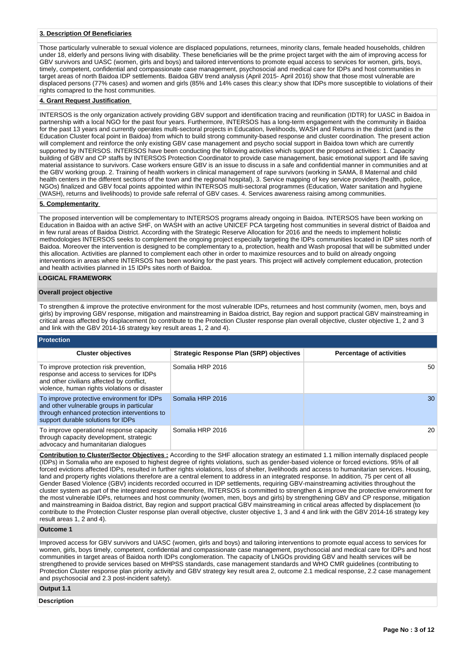# **3. Description Of Beneficiaries**

Those particularly vulnerable to sexual violence are displaced populations, returnees, minority clans, female headed households, children under 18, elderly and persons living with disability. These beneficiaries will be the prime project target with the aim of improving access for GBV survivors and UASC (women, girls and boys) and tailored interventions to promote equal access to services for women, girls, boys, timely, competent, confidential and compassionate case management, psychosocial and medical care for IDPs and host communities in target areas of north Baidoa IDP settlements. Baidoa GBV trend analysis (April 2015- April 2016) show that those most vulnerable are displaced persons (77% cases) and women and girls (85% and 14% cases this clear;y show that IDPs more susceptible to violations of their rights comapred to the host communities.

# **4. Grant Request Justification**

INTERSOS is the only organization actively providing GBV support and identification tracing and reunification (IDTR) for UASC in Baidoa in partnership with a local NGO for the past four years. Furthermore, INTERSOS has a long-term engagement with the community in Baidoa for the past 13 years and currently operates multi-sectoral projects in Education, livelihoods, WASH and Returns in the district (and is the Education Cluster focal point in Baidoa) from which to build strong community-based response and cluster coordination. The present action will complement and reinforce the only existing GBV case management and psycho social support in Baidoa town which are currently supported by INTERSOS. INTERSOS have been conducting the following activities which support the proposed activities: 1. Capacity building of GBV and CP staffs by INTERSOS Protection Coordinator to provide case management, basic emotional support and life saving material assistance to survivors. Case workers ensure GBV is an issue to discuss in a safe and confidential manner in communities and at the GBV working group. 2. Training of health workers in clinical management of rape survivors (working in SAMA, 8 Maternal and child health centers in the different sections of the town and the regional hospital), 3. Service mapping of key service providers (health, police, NGOs) finalized and GBV focal points appointed within INTERSOS multi-sectoral programmes (Education, Water sanitation and hygiene (WASH), returns and livelihoods) to provide safe referral of GBV cases. 4. Services awareness raising among communities.

# **5. Complementarity**

The proposed intervention will be complementary to INTERSOS programs already ongoing in Baidoa. INTERSOS have been working on Education in Baidoa with an active SHF, on WASH with an active UNICEF PCA targeting host communities in several district of Baidoa and in few rural areas of Baidoa District. According with the Strategic Reserve Allocation for 2016 and the needs to implement holistic methodologies INTERSOS seeks to complement the ongoing project especially targeting the IDPs communities located in IDP sites north of Baidoa. Moreover the intervention is designed to be complementary to a, protection, health and Wash proposal that will be submitted under this allocation. Activities are planned to complement each other in order to maximize resources and to build on already ongoing interventions in areas where INTERSOS has been working for the past years. This project will actively complement education, protection and health activities planned in 15 IDPs sites north of Baidoa.

# **LOGICAL FRAMEWORK**

#### **Overall project objective**

To strengthen & improve the protective environment for the most vulnerable IDPs, returnees and host community (women, men, boys and girls) by improving GBV response, mitigation and mainstreaming in Baidoa district, Bay region and support practical GBV mainstreaming in critical areas affected by displacement (to contribute to the Protection Cluster response plan overall objective, cluster objective 1, 2 and 3 and link with the GBV 2014-16 strategy key result areas 1, 2 and 4).

# **Protection**

| <b>Cluster objectives</b>                                                                                                                                                        | <b>Strategic Response Plan (SRP) objectives</b> | <b>Percentage of activities</b> |
|----------------------------------------------------------------------------------------------------------------------------------------------------------------------------------|-------------------------------------------------|---------------------------------|
| To improve protection risk prevention,<br>response and access to services for IDPs<br>and other civilians affected by conflict,<br>violence, human rights violations or disaster | Somalia HRP 2016                                | 50                              |
| To improve protective environment for IDPs<br>and other vulnerable groups in particular<br>through enhanced protection interventions to<br>support durable solutions for IDPs    | Somalia HRP 2016                                | 30                              |
| To improve operational response capacity<br>through capacity development, strategic<br>advocacy and humanitarian dialogues                                                       | Somalia HRP 2016                                | 20                              |

**Contribution to Cluster/Sector Objectives :** According to the SHF allocation strategy an estimated 1.1 million internally displaced people (IDPs) in Somalia who are exposed to highest degree of rights violations, such as gender-based violence or forced evictions. 95% of all forced evictions affected IDPs, resulted in further rights violations, loss of shelter, livelihoods and access to humanitarian services. Housing, land and property rights violations therefore are a central element to address in an integrated response. In addition, 75 per cent of all Gender Based Violence (GBV) incidents recorded occurred in IDP settlements, requiring GBV-mainstreaming activities throughout the cluster system as part of the integrated response therefore, INTERSOS is committed to strengthen & improve the protective environment for the most vulnerable IDPs, returnees and host community (women, men, boys and girls) by strengthening GBV and CP response, mitigation and mainstreaming in Baidoa district, Bay region and support practical GBV mainstreaming in critical areas affected by displacement (to contribute to the Protection Cluster response plan overall objective, cluster objective 1, 3 and 4 and link with the GBV 2014-16 strategy key result areas 1, 2 and 4).

#### **Outcome 1**

Improved access for GBV survivors and UASC (women, girls and boys) and tailoring interventions to promote equal access to services for women, girls, boys timely, competent, confidential and compassionate case management, psychosocial and medical care for IDPs and host communities in target areas of Baidoa north IDPs conglomeration. The capacity of LNGOs providing GBV and health services will be strengthened to provide services based on MHPSS standards, case management standards and WHO CMR guidelines (contributing to Protection Cluster response plan priority activity and GBV strategy key result area 2, outcome 2.1 medical response, 2.2 case management and psychosocial and 2.3 post-incident safety).

#### **Output 1.1**

**Description**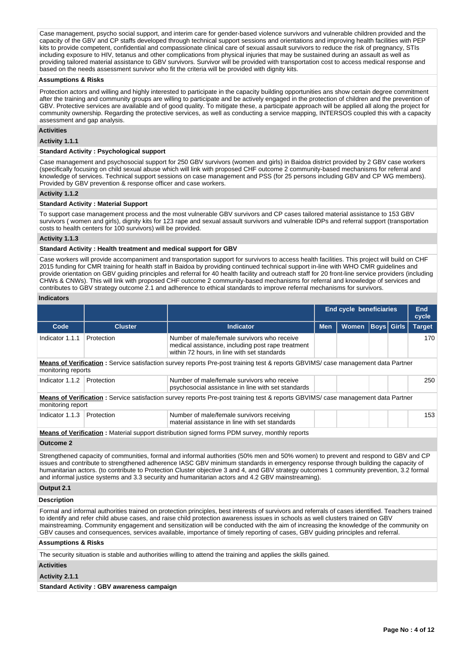Case management, psycho social support, and interim care for gender-based violence survivors and vulnerable children provided and the capacity of the GBV and CP staffs developed through technical support sessions and orientations and improving health facilities with PEP kits to provide competent, confidential and compassionate clinical care of sexual assault survivors to reduce the risk of pregnancy, STIs including exposure to HIV, tetanus and other complications from physical injuries that may be sustained during an assault as well as providing tailored material assistance to GBV survivors. Survivor will be provided with transportation cost to access medical response and based on the needs assessment survivor who fit the criteria will be provided with dignity kits.

#### **Assumptions & Risks**

Protection actors and willing and highly interested to participate in the capacity building opportunities ans show certain degree commitment after the training and community groups are willing to participate and be actively engaged in the protection of children and the prevention of GBV. Protective services are available and of good quality. To mitigate these, a participate approach will be applied all along the project for community ownership. Regarding the protective services, as well as conducting a service mapping, INTERSOS coupled this with a capacity assessment and gap analysis.

## **Activities**

**Activity 1.1.1** 

#### **Standard Activity : Psychological support**

Case management and psychosocial support for 250 GBV survivors (women and girls) in Baidoa district provided by 2 GBV case workers (specifically focusing on child sexual abuse which will link with proposed CHF outcome 2 community-based mechanisms for referral and knowledge of services. Technical support sessions on case management and PSS (for 25 persons including GBV and CP WG members). Provided by GBV prevention & response officer and case workers.

## **Activity 1.1.2**

#### **Standard Activity : Material Support**

To support case management process and the most vulnerable GBV survivors and CP cases tailored material assistance to 153 GBV survivors ( women and girls), dignity kits for 123 rape and sexual assault survivors and vulnerable IDPs and referral support (transportation costs to health centers for 100 survivors) will be provided.

#### **Activity 1.1.3**

# **Standard Activity : Health treatment and medical support for GBV**

Case workers will provide accompaniment and transportation support for survivors to access health facilities. This project will build on CHF 2015 funding for CMR training for health staff in Baidoa by providing continued technical support in-line with WHO CMR guidelines and provide orientation on GBV guiding principles and referral for 40 health facility and outreach staff for 20 front-line service providers (including CHWs & CNWs). This will link with proposed CHF outcome 2 community-based mechanisms for referral and knowledge of services and contributes to GBV strategy outcome 2.1 and adherence to ethical standards to improve referral mechanisms for survivors.

#### **Indicators**

|                                                                                                                                                                                                                                                                                                                                                                                                                                                                                                                                                                |                |                                                                                                                                                                                                                                                                                                                                                                                                                                                                                                                           |            | <b>End cycle beneficiaries</b> |                   |  | End<br>cycle  |  |  |  |  |  |  |  |  |  |  |
|----------------------------------------------------------------------------------------------------------------------------------------------------------------------------------------------------------------------------------------------------------------------------------------------------------------------------------------------------------------------------------------------------------------------------------------------------------------------------------------------------------------------------------------------------------------|----------------|---------------------------------------------------------------------------------------------------------------------------------------------------------------------------------------------------------------------------------------------------------------------------------------------------------------------------------------------------------------------------------------------------------------------------------------------------------------------------------------------------------------------------|------------|--------------------------------|-------------------|--|---------------|--|--|--|--|--|--|--|--|--|--|
| Code                                                                                                                                                                                                                                                                                                                                                                                                                                                                                                                                                           | <b>Cluster</b> | <b>Indicator</b>                                                                                                                                                                                                                                                                                                                                                                                                                                                                                                          | <b>Men</b> | <b>Women</b>                   | <b>Boys</b> Girls |  | <b>Target</b> |  |  |  |  |  |  |  |  |  |  |
| Indicator 1.1.1                                                                                                                                                                                                                                                                                                                                                                                                                                                                                                                                                | Protection     | Number of male/female survivors who receive<br>medical assistance, including post rape treatment<br>within 72 hours, in line with set standards                                                                                                                                                                                                                                                                                                                                                                           |            |                                |                   |  | 170           |  |  |  |  |  |  |  |  |  |  |
| Means of Verification: Service satisfaction survey reports Pre-post training test & reports GBVIMS/ case management data Partner<br>monitoring reports                                                                                                                                                                                                                                                                                                                                                                                                         |                |                                                                                                                                                                                                                                                                                                                                                                                                                                                                                                                           |            |                                |                   |  |               |  |  |  |  |  |  |  |  |  |  |
| Indicator 1.1.2                                                                                                                                                                                                                                                                                                                                                                                                                                                                                                                                                | Protection     | Number of male/female survivors who receive<br>psychosocial assistance in line with set standards                                                                                                                                                                                                                                                                                                                                                                                                                         |            |                                |                   |  | 250           |  |  |  |  |  |  |  |  |  |  |
| monitoring report                                                                                                                                                                                                                                                                                                                                                                                                                                                                                                                                              |                | Means of Verification: Service satisfaction survey reports Pre-post training test & reports GBVIMS/ case management data Partner                                                                                                                                                                                                                                                                                                                                                                                          |            |                                |                   |  |               |  |  |  |  |  |  |  |  |  |  |
| Indicator 1.1.3                                                                                                                                                                                                                                                                                                                                                                                                                                                                                                                                                | Protection     | Number of male/female survivors receiving<br>material assistance in line with set standards                                                                                                                                                                                                                                                                                                                                                                                                                               |            |                                |                   |  | 153           |  |  |  |  |  |  |  |  |  |  |
|                                                                                                                                                                                                                                                                                                                                                                                                                                                                                                                                                                |                | <b>Means of Verification:</b> Material support distribution signed forms PDM survey, monthly reports                                                                                                                                                                                                                                                                                                                                                                                                                      |            |                                |                   |  |               |  |  |  |  |  |  |  |  |  |  |
| <b>Outcome 2</b>                                                                                                                                                                                                                                                                                                                                                                                                                                                                                                                                               |                |                                                                                                                                                                                                                                                                                                                                                                                                                                                                                                                           |            |                                |                   |  |               |  |  |  |  |  |  |  |  |  |  |
|                                                                                                                                                                                                                                                                                                                                                                                                                                                                                                                                                                |                | Strengthened capacity of communities, formal and informal authorities (50% men and 50% women) to prevent and respond to GBV and CP<br>issues and contribute to strengthened adherence IASC GBV minimum standards in emergency response through building the capacity of<br>humanitarian actors. (to contribute to Protection Cluster objective 3 and 4, and GBV strategy outcomes 1 community prevention, 3.2 formal<br>and informal justice systems and 3.3 security and humanitarian actors and 4.2 GBV mainstreaming). |            |                                |                   |  |               |  |  |  |  |  |  |  |  |  |  |
| Output 2.1                                                                                                                                                                                                                                                                                                                                                                                                                                                                                                                                                     |                |                                                                                                                                                                                                                                                                                                                                                                                                                                                                                                                           |            |                                |                   |  |               |  |  |  |  |  |  |  |  |  |  |
| <b>Description</b>                                                                                                                                                                                                                                                                                                                                                                                                                                                                                                                                             |                |                                                                                                                                                                                                                                                                                                                                                                                                                                                                                                                           |            |                                |                   |  |               |  |  |  |  |  |  |  |  |  |  |
| Formal and informal authorities trained on protection principles, best interests of survivors and referrals of cases identified. Teachers trained<br>to identify and refer child abuse cases, and raise child protection awareness issues in schools as well clusters trained on GBV<br>mainstreaming. Community engagement and sensitization will be conducted with the aim of increasing the knowledge of the community on<br>GBV causes and consequences, services available, importance of timely reporting of cases, GBV guiding principles and referral. |                |                                                                                                                                                                                                                                                                                                                                                                                                                                                                                                                           |            |                                |                   |  |               |  |  |  |  |  |  |  |  |  |  |
| <b>Assumptions &amp; Risks</b>                                                                                                                                                                                                                                                                                                                                                                                                                                                                                                                                 |                |                                                                                                                                                                                                                                                                                                                                                                                                                                                                                                                           |            |                                |                   |  |               |  |  |  |  |  |  |  |  |  |  |
|                                                                                                                                                                                                                                                                                                                                                                                                                                                                                                                                                                |                | The security situation is stable and authorities willing to attend the training and applies the skills gained.                                                                                                                                                                                                                                                                                                                                                                                                            |            |                                |                   |  |               |  |  |  |  |  |  |  |  |  |  |
| <b>Activities</b>                                                                                                                                                                                                                                                                                                                                                                                                                                                                                                                                              |                |                                                                                                                                                                                                                                                                                                                                                                                                                                                                                                                           |            |                                |                   |  |               |  |  |  |  |  |  |  |  |  |  |
| Activity 2.1.1                                                                                                                                                                                                                                                                                                                                                                                                                                                                                                                                                 |                |                                                                                                                                                                                                                                                                                                                                                                                                                                                                                                                           |            |                                |                   |  |               |  |  |  |  |  |  |  |  |  |  |

**Standard Activity : GBV awareness campaign**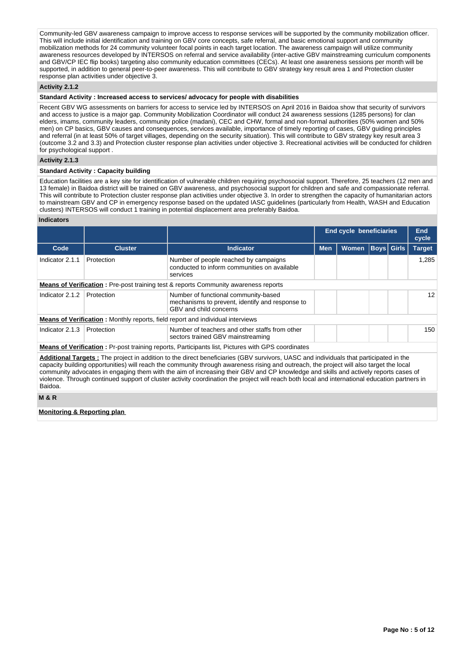Community-led GBV awareness campaign to improve access to response services will be supported by the community mobilization officer. This will include initial identification and training on GBV core concepts, safe referral, and basic emotional support and community mobilization methods for 24 community volunteer focal points in each target location. The awareness campaign will utilize community awareness resources developed by INTERSOS on referral and service availability (inter-active GBV mainstreaming curriculum components and GBV/CP IEC flip books) targeting also community education committees (CECs). At least one awareness sessions per month will be supported, in addition to general peer-to-peer awareness. This will contribute to GBV strategy key result area 1 and Protection cluster response plan activities under objective 3.

# **Activity 2.1.2**

#### **Standard Activity : Increased access to services/ advocacy for people with disabilities**

Recent GBV WG assessments on barriers for access to service led by INTERSOS on April 2016 in Baidoa show that security of survivors and access to justice is a major gap. Community Mobilization Coordinator will conduct 24 awareness sessions (1285 persons) for clan elders, imams, community leaders, community police (madani), CEC and CHW, formal and non-formal authorities (50% women and 50% men) on CP basics, GBV causes and consequences, services available, importance of timely reporting of cases, GBV guiding principles and referral (in at least 50% of target villages, depending on the security situation). This will contribute to GBV strategy key result area 3 (outcome 3.2 and 3.3) and Protection cluster response plan activities under objective 3. Recreational activities will be conducted for children for psychological support .

# **Activity 2.1.3**

#### **Standard Activity : Capacity building**

Education facilities are a key site for identification of vulnerable children requiring psychosocial support. Therefore, 25 teachers (12 men and 13 female) in Baidoa district will be trained on GBV awareness, and psychosocial support for children and safe and compassionate referral. This will contribute to Protection cluster response plan activities under objective 3. In order to strengthen the capacity of humanitarian actors to mainstream GBV and CP in emergency response based on the updated IASC guidelines (particularly from Health, WASH and Education clusters) INTERSOS will conduct 1 training in potential displacement area preferably Baidoa.

#### **Indicators**

|                 |                                                                                                   |                                                                                                                                                                                                                                                                                        |            | <b>End cycle beneficiaries</b> |                   | <b>End</b><br>cycle |               |  |  |
|-----------------|---------------------------------------------------------------------------------------------------|----------------------------------------------------------------------------------------------------------------------------------------------------------------------------------------------------------------------------------------------------------------------------------------|------------|--------------------------------|-------------------|---------------------|---------------|--|--|
| Code            | <b>Cluster</b>                                                                                    | <b>Indicator</b>                                                                                                                                                                                                                                                                       | <b>Men</b> | <b>Women</b>                   | <b>Boys Girls</b> |                     | <b>Target</b> |  |  |
| Indicator 2.1.1 | Protection                                                                                        | Number of people reached by campaigns<br>conducted to inform communities on available<br>services                                                                                                                                                                                      |            |                                |                   |                     | 1.285         |  |  |
|                 |                                                                                                   | <b>Means of Verification:</b> Pre-post training test & reports Community awareness reports                                                                                                                                                                                             |            |                                |                   |                     |               |  |  |
| Indicator 2.1.2 | Protection                                                                                        | Number of functional community-based<br>mechanisms to prevent, identify and response to<br>GBV and child concerns                                                                                                                                                                      |            |                                |                   |                     |               |  |  |
|                 |                                                                                                   | <b>Means of Verification:</b> Monthly reports, field report and individual interviews                                                                                                                                                                                                  |            |                                |                   |                     |               |  |  |
| Indicator 2.1.3 | Number of teachers and other staffs from other<br>Protection<br>sectors trained GBV mainstreaming |                                                                                                                                                                                                                                                                                        |            |                                |                   |                     |               |  |  |
|                 |                                                                                                   | <b>Means of Verification:</b> Pr-post training reports, Participants list, Pictures with GPS coordinates                                                                                                                                                                               |            |                                |                   |                     |               |  |  |
|                 |                                                                                                   | <b>Additional Targets:</b> The project in addition to the direct beneficiaries (GBV survivors, UASC and individuals that participated in the<br>capacity building opportunities) will reach the community through awareness rising and outreach the project will also target the local |            |                                |                   |                     |               |  |  |

ortunities) will reach the community through awareness rising and outreach, the project will also targ community advocates in engaging them with the aim of increasing their GBV and CP knowledge and skills and actively reports cases of violence. Through continued support of cluster activity coordination the project will reach both local and international education partners in Baidoa.

#### **M & R**

# **Monitoring & Reporting plan**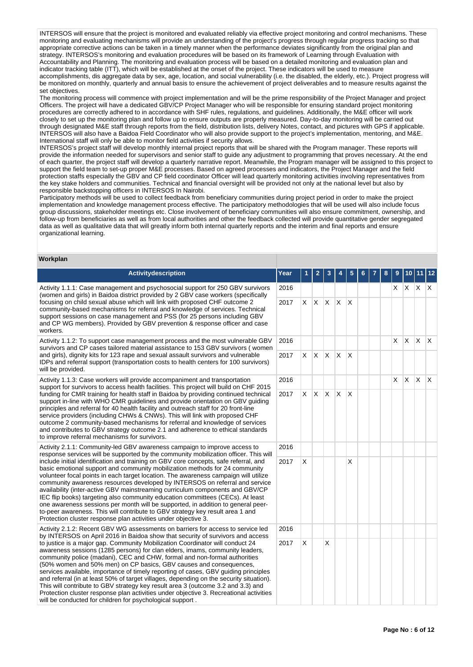INTERSOS will ensure that the project is monitored and evaluated reliably via effective project monitoring and control mechanisms. These monitoring and evaluating mechanisms will provide an understanding of the project's progress through regular progress tracking so that appropriate corrective actions can be taken in a timely manner when the performance deviates significantly from the original plan and strategy. INTERSOS's monitoring and evaluation procedures will be based on its framework of Learning through Evaluation with Accountability and Planning. The monitoring and evaluation process will be based on a detailed monitoring and evaluation plan and indicator tracking table (ITT), which will be established at the onset of the project. These indicators will be used to measure accomplishments, dis aggregate data by sex, age, location, and social vulnerability (i.e. the disabled, the elderly, etc.). Project progress will be monitored on monthly, quarterly and annual basis to ensure the achievement of project deliverables and to measure results against the set objectives.

The monitoring process will commence with project implementation and will be the prime responsibility of the Project Manager and project Officers. The project will have a dedicated GBV/CP Project Manager who will be responsible for ensuring standard project monitoring procedures are correctly adhered to in accordance with SHF rules, regulations, and guidelines. Additionally, the M&E officer will work closely to set up the monitoring plan and follow up to ensure outputs are properly measured. Day-to-day monitoring will be carried out through designated M&E staff through reports from the field, distribution lists, delivery Notes, contact, and pictures with GPS if applicable. INTERSOS will also have a Baidoa Field Coordinator who will also provide support to the project's implementation, mentoring, and M&E. International staff will only be able to monitor field activities if security allows.

INTERSOS's project staff will develop monthly internal project reports that will be shared with the Program manager. These reports will provide the information needed for supervisors and senior staff to guide any adjustment to programming that proves necessary. At the end of each quarter, the project staff will develop a quarterly narrative report. Meanwhile, the Program manager will be assigned to this project to support the field team to set-up proper M&E processes. Based on agreed processes and indicators, the Project Manager and the field protection staffs especially the GBV and CP field coordinator Officer will lead quarterly monitoring activities involving representatives from the key stake holders and communities. Technical and financial oversight will be provided not only at the national level but also by responsible backstopping officers in INTERSOS In Nairobi.

Participatory methods will be used to collect feedback from beneficiary communities during project period in order to make the project implementation and knowledge management process effective. The participatory methodologies that will be used will also include focus group discussions, stakeholder meetings etc. Close involvement of beneficiary communities will also ensure commitment, ownership, and follow-up from beneficiaries as well as from local authorities and other the feedback collected will provide quantitative gender segregated data as well as qualitative data that will greatly inform both internal quarterly reports and the interim and final reports and ensure organizational learning.

#### **Workplan**

| <b>Activitydescription</b>                                                                                                                                                                                                                                                                                                                                                                                                                                                                                                                                                                                                                                                                                                                                                                                                                  | Year | 1        | 2            | 3        | 4   | 5                       | 6 | 7 | 8 | 9  | 10 <sub>1</sub> |          | 11 12 |
|---------------------------------------------------------------------------------------------------------------------------------------------------------------------------------------------------------------------------------------------------------------------------------------------------------------------------------------------------------------------------------------------------------------------------------------------------------------------------------------------------------------------------------------------------------------------------------------------------------------------------------------------------------------------------------------------------------------------------------------------------------------------------------------------------------------------------------------------|------|----------|--------------|----------|-----|-------------------------|---|---|---|----|-----------------|----------|-------|
| Activity 1.1.1: Case management and psychosocial support for 250 GBV survivors<br>(women and girls) in Baidoa district provided by 2 GBV case workers (specifically                                                                                                                                                                                                                                                                                                                                                                                                                                                                                                                                                                                                                                                                         | 2016 |          |              |          |     |                         |   |   |   | X. | $X$ $X$         |          | X.    |
| focusing on child sexual abuse which will link with proposed CHF outcome 2<br>community-based mechanisms for referral and knowledge of services. Technical<br>support sessions on case management and PSS (for 25 persons including GBV<br>and CP WG members). Provided by GBV prevention & response officer and case<br>workers.                                                                                                                                                                                                                                                                                                                                                                                                                                                                                                           | 2017 | X.       | $\mathsf{X}$ | X.       | IX. | $\mathsf{X}$            |   |   |   |    |                 |          |       |
| Activity 1.1.2: To support case management process and the most vulnerable GBV<br>survivors and CP cases tailored material assistance to 153 GBV survivors (women                                                                                                                                                                                                                                                                                                                                                                                                                                                                                                                                                                                                                                                                           | 2016 |          |              |          |     |                         |   |   |   | X  | ΙX.             | $\times$ | ΙX.   |
| and girls), dignity kits for 123 rape and sexual assault survivors and vulnerable<br>IDPs and referral support (transportation costs to health centers for 100 survivors)<br>will be provided.                                                                                                                                                                                                                                                                                                                                                                                                                                                                                                                                                                                                                                              | 2017 | X        | $\mathsf{X}$ | IX.      | IX. | $\mathsf{I} \mathsf{X}$ |   |   |   |    |                 |          |       |
| Activity 1.1.3: Case workers will provide accompaniment and transportation<br>support for survivors to access health facilities. This project will build on CHF 2015                                                                                                                                                                                                                                                                                                                                                                                                                                                                                                                                                                                                                                                                        | 2016 |          |              |          |     |                         |   |   |   | X  | $\mathsf{X}$    | $\times$ | ΙX.   |
| funding for CMR training for health staff in Baidoa by providing continued technical<br>support in-line with WHO CMR guidelines and provide orientation on GBV guiding<br>principles and referral for 40 health facility and outreach staff for 20 front-line<br>service providers (including CHWs & CNWs). This will link with proposed CHF<br>outcome 2 community-based mechanisms for referral and knowledge of services<br>and contributes to GBV strategy outcome 2.1 and adherence to ethical standards<br>to improve referral mechanisms for survivors.                                                                                                                                                                                                                                                                              |      |          | X.           | <b>X</b> | ΙX. | X                       |   |   |   |    |                 |          |       |
| Activity 2.1.1: Community-led GBV awareness campaign to improve access to                                                                                                                                                                                                                                                                                                                                                                                                                                                                                                                                                                                                                                                                                                                                                                   | 2016 |          |              |          |     |                         |   |   |   |    |                 |          |       |
| response services will be supported by the community mobilization officer. This will<br>include initial identification and training on GBV core concepts, safe referral, and<br>basic emotional support and community mobilization methods for 24 community<br>volunteer focal points in each target location. The awareness campaign will utilize<br>community awareness resources developed by INTERSOS on referral and service<br>availability (inter-active GBV mainstreaming curriculum components and GBV/CP<br>IEC flip books) targeting also community education committees (CECs). At least<br>one awareness sessions per month will be supported, in addition to general peer-<br>to-peer awareness. This will contribute to GBV strategy key result area 1 and<br>Protection cluster response plan activities under objective 3. |      | $\times$ |              |          |     | X                       |   |   |   |    |                 |          |       |
| Activity 2.1.2: Recent GBV WG assessments on barriers for access to service led                                                                                                                                                                                                                                                                                                                                                                                                                                                                                                                                                                                                                                                                                                                                                             | 2016 |          |              |          |     |                         |   |   |   |    |                 |          |       |
| by INTERSOS on April 2016 in Baidoa show that security of survivors and access<br>to justice is a major gap. Community Mobilization Coordinator will conduct 24<br>awareness sessions (1285 persons) for clan elders, imams, community leaders,<br>community police (madani), CEC and CHW, formal and non-formal authorities<br>(50% women and 50% men) on CP basics, GBV causes and consequences,<br>services available, importance of timely reporting of cases, GBV guiding principles<br>and referral (in at least 50% of target villages, depending on the security situation).<br>This will contribute to GBV strategy key result area 3 (outcome 3.2 and 3.3) and<br>Protection cluster response plan activities under objective 3. Recreational activities<br>will be conducted for children for psychological support.             |      | X        |              | X        |     |                         |   |   |   |    |                 |          |       |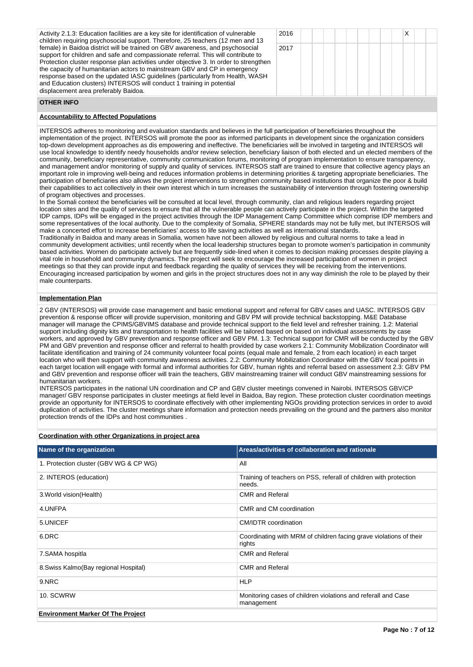| Activity 2.1.3: Education facilities are a key site for identification of vulnerable<br>children requiring psychosocial support. Therefore, 25 teachers (12 men and 13                                                                                                                                                                                                                                                                                                                                                                     | 2016 |
|--------------------------------------------------------------------------------------------------------------------------------------------------------------------------------------------------------------------------------------------------------------------------------------------------------------------------------------------------------------------------------------------------------------------------------------------------------------------------------------------------------------------------------------------|------|
| female) in Baidoa district will be trained on GBV awareness, and psychosocial<br>support for children and safe and compassionate referral. This will contribute to<br>Protection cluster response plan activities under objective 3. In order to strengthen<br>the capacity of humanitarian actors to mainstream GBV and CP in emergency<br>response based on the updated IASC guidelines (particularly from Health, WASH<br>and Education clusters) INTERSOS will conduct 1 training in potential<br>displacement area preferably Baidoa. | 2017 |

| 2016 |  |  |  |  | X |  |
|------|--|--|--|--|---|--|
| 2017 |  |  |  |  |   |  |
|      |  |  |  |  |   |  |
|      |  |  |  |  |   |  |
|      |  |  |  |  |   |  |

# **OTHER INFO**

# **Accountability to Affected Populations**

INTERSOS adheres to monitoring and evaluation standards and believes in the full participation of beneficiaries throughout the implementation of the project. INTERSOS will promote the poor as informed participants in development since the organization considers top-down development approaches as dis empowering and ineffective. The beneficiaries will be involved in targeting and INTERSOS will use local knowledge to identify needy households and/or review selection, beneficiary liaison of both elected and un elected members of the community, beneficiary representative, community communication forums, monitoring of program implementation to ensure transparency, and management and/or monitoring of supply and quality of services. INTERSOS staff are trained to ensure that collective agency plays an important role in improving well-being and reduces information problems in determining priorities & targeting appropriate beneficiaries. The participation of beneficiaries also allows the project interventions to strengthen community based institutions that organize the poor & build their capabilities to act collectively in their own interest which in turn increases the sustainability of intervention through fostering ownership of program objectives and processes.

In the Somali context the beneficiaries will be consulted at local level, through community, clan and religious leaders regarding project location sites and the quality of services to ensure that all the vulnerable people can actively participate in the project. Within the targeted IDP camps, IDPs will be engaged in the project activities through the IDP Management Camp Committee which comprise IDP members and some representatives of the local authority. Due to the complexity of Somalia, SPHERE standards may not be fully met, but INTERSOS will make a concerted effort to increase beneficiaries' access to life saving activities as well as international standards.

Traditionally in Baidoa and many areas in Somalia, women have not been allowed by religious and cultural norms to take a lead in community development activities; until recently when the local leadership structures began to promote women's participation in community based activities. Women do participate actively but are frequently side-lined when it comes to decision making processes despite playing a vital role in household and community dynamics. The project will seek to encourage the increased participation of women in project meetings so that they can provide input and feedback regarding the quality of services they will be receiving from the interventions. Encouraging increased participation by women and girls in the project structures does not in any way diminish the role to be played by their male counterparts.

# **Implementation Plan**

2 GBV (INTERSOS) will provide case management and basic emotional support and referral for GBV cases and UASC. INTERSOS GBV prevention & response officer will provide supervision, monitoring and GBV PM will provide technical backstopping. M&E Database manager will manage the CPIMS/GBVIMS database and provide technical support to the field level and refresher training. 1.2: Material support including dignity kits and transportation to health facilities will be tailored based on based on individual assessments by case workers, and approved by GBV prevention and response officer and GBV PM. 1.3: Technical support for CMR will be conducted by the GBV PM and GBV prevention and response officer and referral to health provided by case workers 2.1: Community Mobilization Coordinator will facilitate identification and training of 24 community volunteer focal points (equal male and female, 2 from each location) in each target location who will then support with community awareness activities. 2.2: Community Mobilization Coordinator with the GBV focal points in each target location will engage with formal and informal authorities for GBV, human rights and referral based on assessment 2.3: GBV PM and GBV prevention and response officer will train the teachers, GBV mainstreaming trainer will conduct GBV mainstreaming sessions for humanitarian workers.

INTERSOS participates in the national UN coordination and CP and GBV cluster meetings convened in Nairobi. INTERSOS GBV/CP manager/ GBV response participates in cluster meetings at field level in Baidoa, Bay region. These protection cluster coordination meetings provide an opportunity for INTERSOS to coordinate effectively with other implementing NGOs providing protection services in order to avoid duplication of activities. The cluster meetings share information and protection needs prevailing on the ground and the partners also monitor protection trends of the IDPs and host communities .

# **Coordination with other Organizations in project area Name of the organization Areas/activities of collaboration and rationale** 1. Protection cluster (GBV WG & CP WG) All 2. INTEROS (education) Training of teachers on PSS, referall of children with protection needs. 3.World vision(Health) CMR and Referal 4.UNFPA CMR and CM coordination 5.UNICEF CONTROLLER CONTROLLER CONTROLLER CONTROLLER CONTROLLER CONTROLLER CONTROLLER CONTROLLER CONTROLLER CO 6.DRC Coordinating with MRM of children facing grave violations of their rights 7.SAMA hospitla **CMR** and Referal 8.Swiss Kalmo(Bay regional Hospital) CMR and Referal 9.NRC PHOTO IN THE PARTIES IN THE PARTIES OF THE PARTIES OF THE PARTIES OF THE PARTIES OF THE PARTIES OF THE P 10. SCWRW Monitoring cases of children violations and referall and Case management **Environment Marker Of The Project Page No : 7 of 12**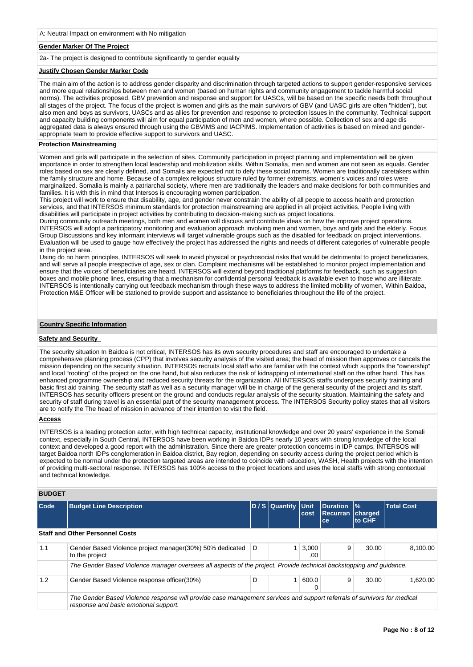#### **Gender Marker Of The Project**

2a- The project is designed to contribute significantly to gender equality

# **Justify Chosen Gender Marker Code**

The main aim of the action is to address gender disparity and discrimination through targeted actions to support gender-responsive services and more equal relationships between men and women (based on human rights and community engagement to tackle harmful social norms). The activities proposed, GBV prevention and response and support for UASCs, will be based on the specific needs both throughout all stages of the project. The focus of the project is women and girls as the main survivors of GBV (and UASC girls are often "hidden"), but also men and boys as survivors, UASCs and as allies for prevention and response to protection issues in the community. Technical support and capacity building components will aim for equal participation of men and women, where possible. Collection of sex and age dis aggregated data is always ensured through using the GBVIMS and IACPIMS. Implementation of activities is based on mixed and genderappropriate team to provide effective support to survivors and UASC.

# **Protection Mainstreaming**

Women and girls will participate in the selection of sites. Community participation in project planning and implementation will be given importance in order to strengthen local leadership and mobilization skills. Within Somalia, men and women are not seen as equals. Gender roles based on sex are clearly defined, and Somalis are expected not to defy these social norms. Women are traditionally caretakers within the family structure and home. Because of a complex religious structure ruled by former extremists, women's voices and roles were marginalized. Somalia is mainly a patriarchal society, where men are traditionally the leaders and make decisions for both communities and families. It is with this in mind that Intersos is encouraging women participation.

This project will work to ensure that disability, age, and gender never constrain the ability of all people to access health and protection services, and that INTERSOS minimum standards for protection mainstreaming are applied in all project activities. People living with disabilities will participate in project activities by contributing to decision-making such as project locations.

During community outreach meetings, both men and women will discuss and contribute ideas on how the improve project operations. INTERSOS will adopt a participatory monitoring and evaluation approach involving men and women, boys and girls and the elderly. Focus Group Discussions and key informant interviews will target vulnerable groups such as the disabled for feedback on project interventions. Evaluation will be used to gauge how effectively the project has addressed the rights and needs of different categories of vulnerable people in the project area.

Using do no harm principles, INTERSOS will seek to avoid physical or psychosocial risks that would be detrimental to project beneficiaries, and will serve all people irrespective of age, sex or clan. Complaint mechanisms will be established to monitor project implementation and ensure that the voices of beneficiaries are heard. INTERSOS will extend beyond traditional platforms for feedback, such as suggestion boxes and mobile phone lines, ensuring that a mechanism for confidential personal feedback is available even to those who are illiterate. INTERSOS is intentionally carrying out feedback mechanism through these ways to address the limited mobility of women, Within Baidoa, Protection M&E Officer will be stationed to provide support and assistance to beneficiaries throughout the life of the project.

# **Country Specific Information**

#### **Safety and Security**

The security situation In Baidoa is not critical, INTERSOS has its own security procedures and staff are encouraged to undertake a comprehensive planning process (CPP) that involves security analysis of the visited area; the head of mission then approves or cancels the mission depending on the security situation. INTERSOS recruits local staff who are familiar with the context which supports the "ownership" and local "rooting" of the project on the one hand, but also reduces the risk of kidnapping of international staff on the other hand. This has enhanced programme ownership and reduced security threats for the organization. All INTERSOS staffs undergoes security training and basic first aid training. The security staff as well as a security manager will be in charge of the general security of the project and its staff. INTERSOS has security officers present on the ground and conducts regular analysis of the security situation. Maintaining the safety and security of staff during travel is an essential part of the security management process. The INTERSOS Security policy states that all visitors are to notify the The head of mission in advance of their intention to visit the field.

# **Access**

INTERSOS is a leading protection actor, with high technical capacity, institutional knowledge and over 20 years' experience in the Somali context, especially in South Central, INTERSOS have been working in Baidoa IDPs nearly 10 years with strong knowledge of the local context and developed a good report with the administration. Since there are greater protection concerns in IDP camps, INTERSOS will target Baidoa north IDPs conglomeration in Baidoa district, Bay region, depending on security access during the project period which is expected to be normal under the protection targeted areas are intended to coincide with education, WASH, Health projects with the intention of providing multi-sectoral response. INTERSOS has 100% access to the project locations and uses the local staffs with strong contextual and technical knowledge.

#### **BUDGET**

| Code | <b>Budget Line Description</b>                                                                                                                                   |   | D / S Quantity Unit | cost         | Duration<br>Recurran Charged<br>ce | $\frac{9}{6}$<br>to CHF | <b>Total Cost</b> |
|------|------------------------------------------------------------------------------------------------------------------------------------------------------------------|---|---------------------|--------------|------------------------------------|-------------------------|-------------------|
|      | <b>Staff and Other Personnel Costs</b>                                                                                                                           |   |                     |              |                                    |                         |                   |
| 1.1  | Gender Based Violence project manager(30%) 50% dedicated<br>to the project                                                                                       | D |                     | 3,000<br>.00 | 9                                  | 30.00                   | 8.100.00          |
|      | The Gender Based Violence manager oversees all aspects of the project, Provide technical backstopping and quidance.                                              |   |                     |              |                                    |                         |                   |
| 1.2  | Gender Based Violence response officer(30%)                                                                                                                      | D |                     | 600.0        | 9                                  | 30.00                   | 1.620.00          |
|      | The Gender Based Violence response will provide case management services and support referrals of survivors for medical<br>response and basic emotional support. |   |                     |              |                                    |                         |                   |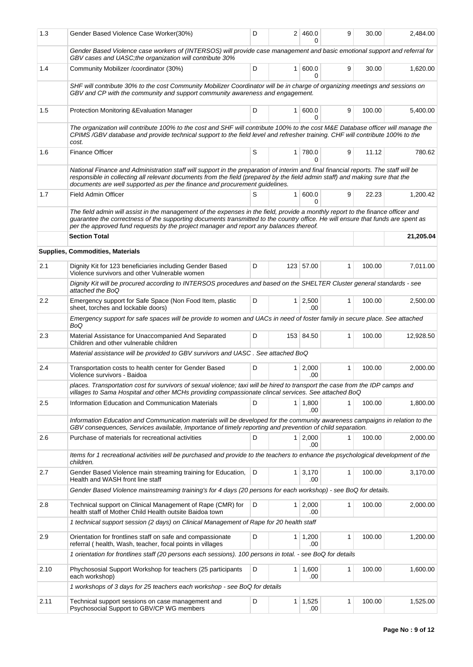| 1.3  | Gender Based Violence Case Worker(30%)                                                                                                                                                                                                                                                                                                                       | D |                | 2 460.0<br>O          | 9            | 30.00  | 2,484.00  |
|------|--------------------------------------------------------------------------------------------------------------------------------------------------------------------------------------------------------------------------------------------------------------------------------------------------------------------------------------------------------------|---|----------------|-----------------------|--------------|--------|-----------|
|      | Gender Based Violence case workers of (INTERSOS) will provide case management and basic emotional support and referral for<br>GBV cases and UASC; the organization will contribute 30%                                                                                                                                                                       |   |                |                       |              |        |           |
| 1.4  | Community Mobilizer /coordinator (30%)                                                                                                                                                                                                                                                                                                                       | D | 1 <sup>1</sup> | 600.0<br>$\Omega$     | 9            | 30.00  | 1,620.00  |
|      | SHF will contribute 30% to the cost Community Mobilizer Coordinator will be in charge of organizing meetings and sessions on<br>GBV and CP with the community and support community awareness and engagement.                                                                                                                                                |   |                |                       |              |        |           |
| 1.5  | Protection Monitoring & Evaluation Manager                                                                                                                                                                                                                                                                                                                   | D | 1 <sup>1</sup> | 600.0<br>0            | 9            | 100.00 | 5,400.00  |
|      | The organization will contribute 100% to the cost and SHF will contribute 100% to the cost M&E Database officer will manage the<br>CPIMS/GBV database and provide technical support to the field level and refresher training. CHF will contribute 100% to the<br>cost.                                                                                      |   |                |                       |              |        |           |
| 1.6  | <b>Finance Officer</b>                                                                                                                                                                                                                                                                                                                                       | S |                | 1 780.0<br>$\Omega$   | 9            | 11.12  | 780.62    |
|      | National Finance and Administration staff will support in the preparation of interim and final financial reports. The staff will be<br>responsible in collecting all relevant documents from the field (prepared by the field admin staff) and making sure that the<br>documents are well supported as per the finance and procurement guidelines.           |   |                |                       |              |        |           |
| 1.7  | <b>Field Admin Officer</b>                                                                                                                                                                                                                                                                                                                                   | S | $\mathbf{1}$   | 600.0<br>0            | 9            | 22.23  | 1,200.42  |
|      | The field admin will assist in the management of the expenses in the field, provide a monthly report to the finance officer and<br>guarantee the correctness of the supporting documents transmitted to the country office. He will ensure that funds are spent as<br>per the approved fund requests by the project manager and report any balances thereof. |   |                |                       |              |        |           |
|      | <b>Section Total</b>                                                                                                                                                                                                                                                                                                                                         |   |                |                       |              |        | 21,205.04 |
|      | <b>Supplies, Commodities, Materials</b>                                                                                                                                                                                                                                                                                                                      |   |                |                       |              |        |           |
| 2.1  | Dignity Kit for 123 beneficiaries including Gender Based<br>Violence survivors and other Vulnerable women                                                                                                                                                                                                                                                    | D |                | 123 57.00             | $\mathbf{1}$ | 100.00 | 7,011.00  |
|      | Dignity Kit will be procured according to INTERSOS procedures and based on the SHELTER Cluster general standards - see<br>attached the BoQ                                                                                                                                                                                                                   |   |                |                       |              |        |           |
| 2.2  | Emergency support for Safe Space (Non Food Item, plastic<br>sheet, torches and lockable doors)                                                                                                                                                                                                                                                               | D |                | $1 \mid 2,500$<br>.00 | $\mathbf{1}$ | 100.00 | 2,500.00  |
|      | Emergency support for safe spaces will be provide to women and UACs in need of foster family in secure place. See attached<br>BoQ                                                                                                                                                                                                                            |   |                |                       |              |        |           |
| 2.3  | Material Assistance for Unaccompanied And Separated<br>Children and other vulnerable children                                                                                                                                                                                                                                                                | D |                | 153 84.50             | $\mathbf{1}$ | 100.00 | 12,928.50 |
|      | Material assistance will be provided to GBV survivors and UASC. See attached BoQ                                                                                                                                                                                                                                                                             |   |                |                       |              |        |           |
| 2.4  | Transportation costs to health center for Gender Based<br>Violence survivors - Baidoa                                                                                                                                                                                                                                                                        | D | 1 <sup>1</sup> | 2,000<br>.00          | 1            | 100.00 | 2,000.00  |
|      | places. Transportation cost for survivors of sexual violence; taxi will be hired to transport the case from the IDP camps and<br>villages to Sama Hospital and other MCHs providing compassionate clincal services. See attached BoQ                                                                                                                         |   |                |                       |              |        |           |
| 2.5  | Information Education and Communication Materials                                                                                                                                                                                                                                                                                                            | D |                | $1 \mid 1,800$<br>.00 | 1            | 100.00 | 1,800.00  |
|      | Information Education and Communication materials will be developed for the community awareness campaigns in relation to the<br>GBV consequences, Services available, Importance of timely reporting and prevention of child separation.                                                                                                                     |   |                |                       |              |        |           |
| 2.6  | Purchase of materials for recreational activities                                                                                                                                                                                                                                                                                                            | D |                | 1 2,000<br>.00        |              | 100.00 | 2,000.00  |
|      | Items for 1 recreational activities will be purchased and provide to the teachers to enhance the psychological development of the<br>children.                                                                                                                                                                                                               |   |                |                       |              |        |           |
| 2.7  | Gender Based Violence main streaming training for Education,<br>Health and WASH front line staff                                                                                                                                                                                                                                                             | D |                | $1 \mid 3,170$<br>.00 | 1            | 100.00 | 3,170.00  |
|      | Gender Based Violence mainstreaming training's for 4 days (20 persons for each workshop) - see BoQ for details.                                                                                                                                                                                                                                              |   |                |                       |              |        |           |
| 2.8  | Technical support on Clinical Management of Rape (CMR) for<br>health staff of Mother Child Health outsite Baidoa town                                                                                                                                                                                                                                        | D |                | $1 \mid 2,000$<br>.00 | 1            | 100.00 | 2,000.00  |
|      | 1 technical support session (2 days) on Clinical Management of Rape for 20 health staff                                                                                                                                                                                                                                                                      |   |                |                       |              |        |           |
| 2.9  | Orientation for frontlines staff on safe and compassionate<br>referral (health, Wash, teacher, focal points in villages                                                                                                                                                                                                                                      | D |                | $1 \mid 1,200$<br>.00 | 1            | 100.00 | 1,200.00  |
|      | 1 orientation for frontlines staff (20 persons each sessions). 100 persons in total. - see BoQ for details                                                                                                                                                                                                                                                   |   |                |                       |              |        |           |
| 2.10 | Phychososial Support Workshop for teachers (25 participants<br>each workshop)                                                                                                                                                                                                                                                                                | D |                | $1 \mid 1,600$<br>.00 | $\mathbf{1}$ | 100.00 | 1,600.00  |
|      | 1 workshops of 3 days for 25 teachers each workshop - see BoQ for details                                                                                                                                                                                                                                                                                    |   |                |                       |              |        |           |
| 2.11 | Technical support sessions on case management and<br>Psychosocial Support to GBV/CP WG members                                                                                                                                                                                                                                                               | D | $\mathbf{1}$   | 1,525<br>.00          | 1            | 100.00 | 1,525.00  |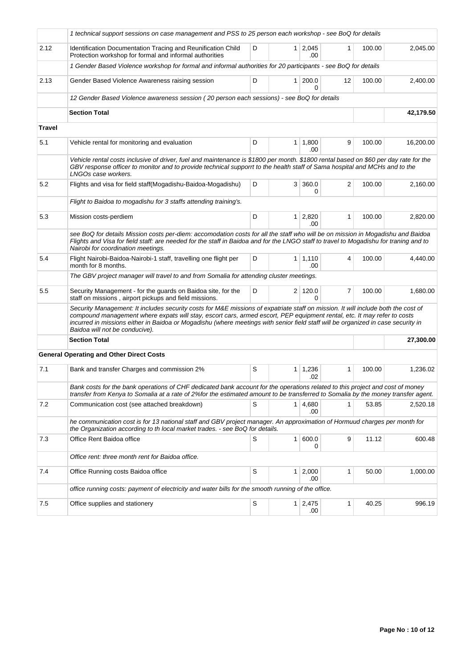|        | 1 technical support sessions on case management and PSS to 25 person each workshop - see BoQ for details                                                                                                                                                                                                                                                                                                                           |   |                |                        |    |        |           |
|--------|------------------------------------------------------------------------------------------------------------------------------------------------------------------------------------------------------------------------------------------------------------------------------------------------------------------------------------------------------------------------------------------------------------------------------------|---|----------------|------------------------|----|--------|-----------|
| 2.12   | Identification Documentation Tracing and Reunification Child<br>Protection workshop for formal and informal authorities                                                                                                                                                                                                                                                                                                            | D |                | $1 \quad 2,045$<br>.00 | 1  | 100.00 | 2,045.00  |
|        | 1 Gender Based Violence workshop for formal and informal authorities for 20 participants - see BoQ for details                                                                                                                                                                                                                                                                                                                     |   |                |                        |    |        |           |
| 2.13   | Gender Based Violence Awareness raising session                                                                                                                                                                                                                                                                                                                                                                                    | D |                | 1 200.0<br>0           | 12 | 100.00 | 2,400.00  |
|        | 12 Gender Based Violence awareness session (20 person each sessions) - see BoQ for details                                                                                                                                                                                                                                                                                                                                         |   |                |                        |    |        |           |
|        | <b>Section Total</b>                                                                                                                                                                                                                                                                                                                                                                                                               |   |                |                        |    |        | 42,179.50 |
| Travel |                                                                                                                                                                                                                                                                                                                                                                                                                                    |   |                |                        |    |        |           |
| 5.1    | Vehicle rental for monitoring and evaluation                                                                                                                                                                                                                                                                                                                                                                                       | D |                | $1 \mid 1,800$<br>.00  | 9  | 100.00 | 16,200.00 |
|        | Vehicle rental costs inclusive of driver, fuel and maintenance is \$1800 per month. \$1800 rental based on \$60 per day rate for the<br>GBV response officer to monitor and to provide technical supporrt to the health staff of Sama hospital and MCHs and to the<br>LNGOs case workers.                                                                                                                                          |   |                |                        |    |        |           |
| 5.2    | Flights and visa for field staff(Mogadishu-Baidoa-Mogadishu)                                                                                                                                                                                                                                                                                                                                                                       | D | 3 <sup>1</sup> | 360.0<br>0             | 2  | 100.00 | 2,160.00  |
|        | Flight to Baidoa to mogadishu for 3 staffs attending training's.                                                                                                                                                                                                                                                                                                                                                                   |   |                |                        |    |        |           |
| 5.3    | Mission costs-perdiem                                                                                                                                                                                                                                                                                                                                                                                                              | D |                | $1 \mid 2,820$<br>.00  | 1  | 100.00 | 2,820.00  |
|        | see BoQ for details Mission costs per-diem: accomodation costs for all the staff who will be on mission in Mogadishu and Baidoa<br>Flights and Visa for field staff: are needed for the staff in Baidoa and for the LNGO staff to travel to Mogadishu for traning and to<br>Nairobi for coordination meetings.                                                                                                                     |   |                |                        |    |        |           |
| 5.4    | Flight Nairobi-Baidoa-Nairobi-1 staff, travelling one flight per<br>month for 8 months.                                                                                                                                                                                                                                                                                                                                            | D |                | $1 \mid 1,110$<br>.00  | 4  | 100.00 | 4,440.00  |
|        | The GBV project manager will travel to and from Somalia for attending cluster meetings.                                                                                                                                                                                                                                                                                                                                            |   |                |                        |    |        |           |
| 5.5    | Security Management - for the guards on Baidoa site, for the<br>staff on missions, airport pickups and field missions.                                                                                                                                                                                                                                                                                                             | D |                | 2 120.0<br>0           | 7  | 100.00 | 1,680.00  |
|        | Security Management: It includes security costs for M&E missions of expatriate staff on mission. It will include both the cost of<br>compound management where expats will stay, escort cars, armed escort, PEP equipment rental, etc. It may refer to costs<br>incurred in missions either in Baidoa or Mogadishu (where meetings with senior field staff will be organized in case security in<br>Baidoa will not be conducive). |   |                |                        |    |        |           |
|        | <b>Section Total</b>                                                                                                                                                                                                                                                                                                                                                                                                               |   |                |                        |    |        | 27,300.00 |
|        | <b>General Operating and Other Direct Costs</b>                                                                                                                                                                                                                                                                                                                                                                                    |   |                |                        |    |        |           |
| 7.1    | Bank and transfer Charges and commission 2%                                                                                                                                                                                                                                                                                                                                                                                        | S | 1 <sup>1</sup> | 1,236<br>.02           | 1  | 100.00 | 1,236.02  |
|        | Bank costs for the bank operations of CHF dedicated bank account for the operations related to this project and cost of money<br>transfer from Kenya to Somalia at a rate of 2% for the estimated amount to be transferred to Somalia by the money transfer agent.                                                                                                                                                                 |   |                |                        |    |        |           |
| 7.2    | Communication cost (see attached breakdown)                                                                                                                                                                                                                                                                                                                                                                                        | S |                | 1 4,680<br>.00         | 1  | 53.85  | 2,520.18  |
|        | he communication cost is for 13 national staff and GBV project manager. An approximation of Hormuud charges per month for<br>the Organization according to th local market trades. - see BoQ for details.                                                                                                                                                                                                                          |   |                |                        |    |        |           |
| 7.3    | Office Rent Baidoa office                                                                                                                                                                                                                                                                                                                                                                                                          | S |                | 1   600.0<br>0         | 9  | 11.12  | 600.48    |
|        | Office rent: three month rent for Baidoa office.                                                                                                                                                                                                                                                                                                                                                                                   |   |                |                        |    |        |           |
| 7.4    | Office Running costs Baidoa office                                                                                                                                                                                                                                                                                                                                                                                                 | S |                | $1 \quad 2,000$<br>.00 | 1  | 50.00  | 1,000.00  |
|        | office running costs: payment of electricity and water bills for the smooth running of the office.                                                                                                                                                                                                                                                                                                                                 |   |                |                        |    |        |           |
| 7.5    | Office supplies and stationery                                                                                                                                                                                                                                                                                                                                                                                                     | S |                | $1 \quad 2,475$<br>.00 | 1  | 40.25  | 996.19    |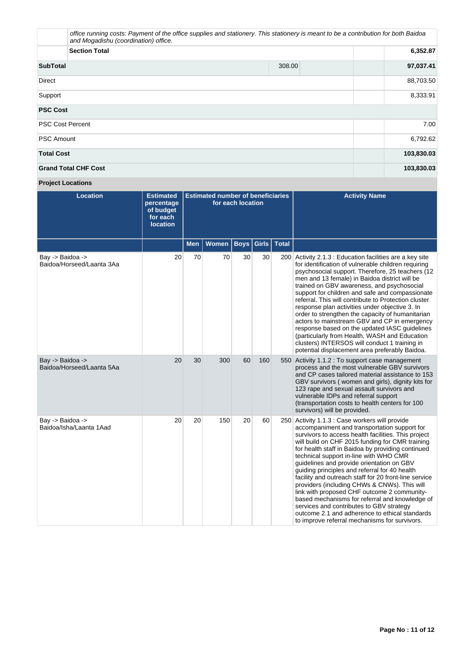|                             | office running costs: Payment of the office supplies and stationery. This stationery is meant to be a contribution for both Baidoa<br>and Mogadishu (coordination) office. |          |           |  |  |  |
|-----------------------------|----------------------------------------------------------------------------------------------------------------------------------------------------------------------------|----------|-----------|--|--|--|
|                             | <b>Section Total</b>                                                                                                                                                       | 6,352.87 |           |  |  |  |
| <b>SubTotal</b>             |                                                                                                                                                                            | 308.00   | 97,037.41 |  |  |  |
| <b>Direct</b>               | 88,703.50                                                                                                                                                                  |          |           |  |  |  |
| Support                     |                                                                                                                                                                            |          |           |  |  |  |
| <b>PSC Cost</b>             |                                                                                                                                                                            |          |           |  |  |  |
| <b>PSC Cost Percent</b>     |                                                                                                                                                                            |          |           |  |  |  |
| <b>PSC Amount</b>           | 6,792.62                                                                                                                                                                   |          |           |  |  |  |
| <b>Total Cost</b>           | 103,830.03                                                                                                                                                                 |          |           |  |  |  |
| <b>Grand Total CHF Cost</b> | 103,830.03                                                                                                                                                                 |          |           |  |  |  |

# **Project Locations**

| <b>Location</b>                               | <b>Estimated</b><br>percentage<br>of budget<br>for each<br><b>location</b> | <b>Estimated number of beneficiaries</b><br>for each location |              |             | <b>Activity Name</b> |              |                                                                                                                                                                                                                                                                                                                                                                                                                                                                                                                                                                                                                                                                                                                                                                |
|-----------------------------------------------|----------------------------------------------------------------------------|---------------------------------------------------------------|--------------|-------------|----------------------|--------------|----------------------------------------------------------------------------------------------------------------------------------------------------------------------------------------------------------------------------------------------------------------------------------------------------------------------------------------------------------------------------------------------------------------------------------------------------------------------------------------------------------------------------------------------------------------------------------------------------------------------------------------------------------------------------------------------------------------------------------------------------------------|
|                                               |                                                                            | <b>Men</b>                                                    | <b>Women</b> | <b>Boys</b> | Girls $\vert$        | <b>Total</b> |                                                                                                                                                                                                                                                                                                                                                                                                                                                                                                                                                                                                                                                                                                                                                                |
| Bay -> Baidoa -><br>Baidoa/Horseed/Laanta 3Aa | 20                                                                         | 70                                                            | 70           | 30          | 30                   |              | 200 Activity 2.1.3 : Education facilities are a key site<br>for identification of vulnerable children requiring<br>psychosocial support. Therefore, 25 teachers (12)<br>men and 13 female) in Baidoa district will be<br>trained on GBV awareness, and psychosocial<br>support for children and safe and compassionate<br>referral. This will contribute to Protection cluster<br>response plan activities under objective 3. In<br>order to strengthen the capacity of humanitarian<br>actors to mainstream GBV and CP in emergency<br>response based on the updated IASC guidelines<br>(particularly from Health, WASH and Education<br>clusters) INTERSOS will conduct 1 training in<br>potential displacement area preferably Baidoa.                      |
| Bay -> Baidoa -><br>Baidoa/Horseed/Laanta 5Aa | 20                                                                         | 30                                                            | 300          | 60          | 160                  |              | 550 Activity 1.1.2 : To support case management<br>process and the most vulnerable GBV survivors<br>and CP cases tailored material assistance to 153<br>GBV survivors (women and girls), dignity kits for<br>123 rape and sexual assault survivors and<br>vulnerable IDPs and referral support<br>(transportation costs to health centers for 100)<br>survivors) will be provided.                                                                                                                                                                                                                                                                                                                                                                             |
| Bay -> Baidoa -><br>Baidoa/Isha/Laanta 1Aad   | 20                                                                         | 20                                                            | 150          | 20          | 60                   |              | 250 Activity 1.1.3 : Case workers will provide<br>accompaniment and transportation support for<br>survivors to access health facilities. This project<br>will build on CHF 2015 funding for CMR training<br>for health staff in Baidoa by providing continued<br>technical support in-line with WHO CMR<br>guidelines and provide orientation on GBV<br>guiding principles and referral for 40 health<br>facility and outreach staff for 20 front-line service<br>providers (including CHWs & CNWs). This will<br>link with proposed CHF outcome 2 community-<br>based mechanisms for referral and knowledge of<br>services and contributes to GBV strategy<br>outcome 2.1 and adherence to ethical standards<br>to improve referral mechanisms for survivors. |